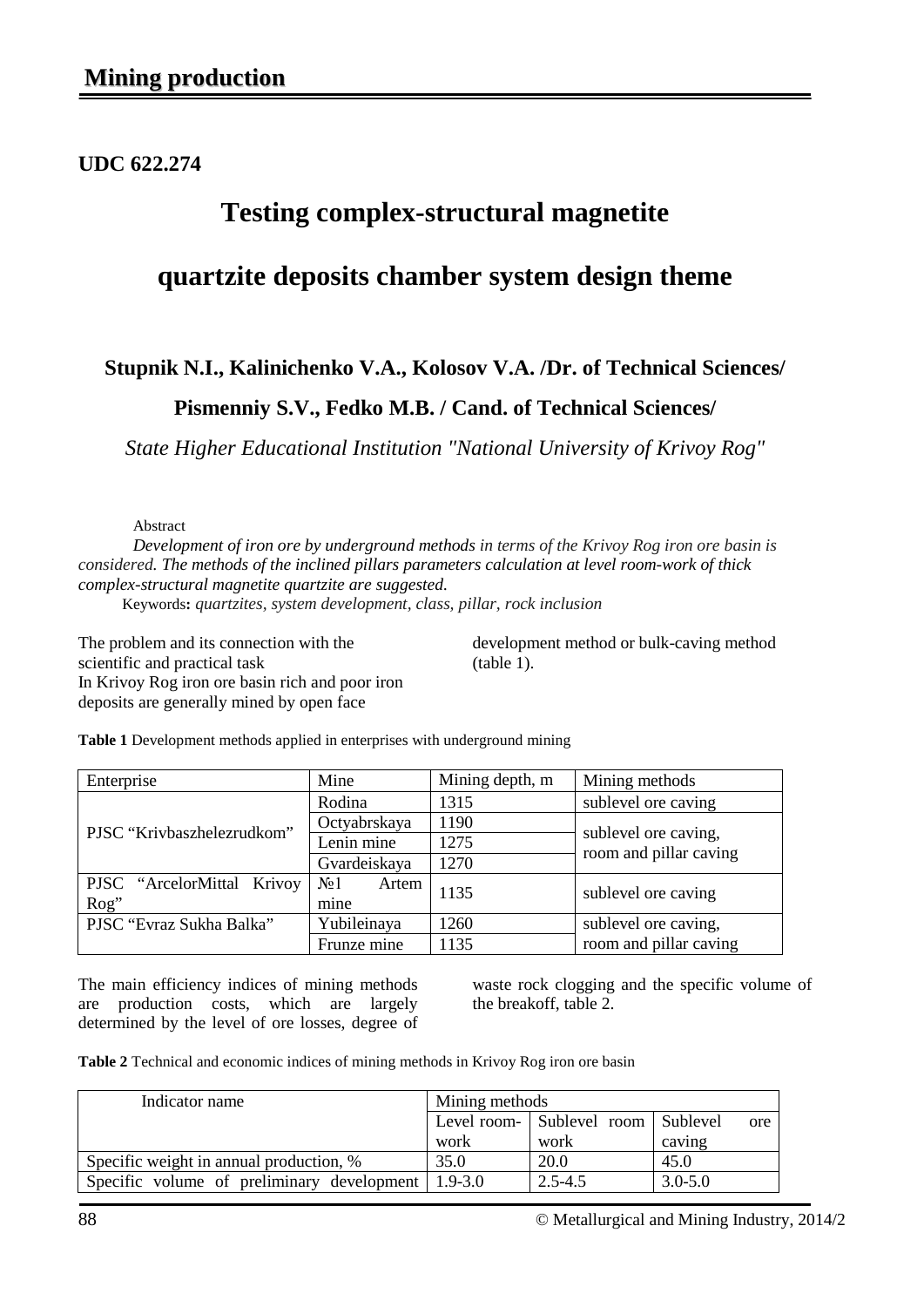### **UDC 622.274**

# **Testing complex-structural magnetite**

## **quartzite deposits chamber system design theme**

### **Stupnik N.I., Kalinichenko V.A., Kolosov V.A. /Dr. of Technical Sciences/**

### **Pismenniy S.V., Fedko M.B. / Cand. of Technical Sciences/**

*State Higher Educational Institution "National University of Krivoy Rog"*

Abstract

*Development of iron ore by underground methods in terms of the Krivoy Rog iron ore basin is considered. The methods of the inclined pillars parameters calculation at level room-work of thick complex-structural magnetite quartzite are suggested.*

Keywords**:** *quartzites, system development, class, pillar, rock inclusion* 

The problem and its connection with the scientific and practical task In Krivoy Rog iron ore basin rich and poor iron deposits are generally mined by open face

development method or bulk-caving method (table 1).

| Enterprise                 | Mine                      | Mining depth, m | Mining methods                                 |  |
|----------------------------|---------------------------|-----------------|------------------------------------------------|--|
|                            | Rodina                    | 1315            | sublevel ore caving                            |  |
| PJSC "Krivbaszhelezrudkom" | Octyabrskaya              | 1190            |                                                |  |
|                            | Lenin mine                | 1275            | sublevel ore caving,<br>room and pillar caving |  |
|                            | Gvardeiskaya              | 1270            |                                                |  |
| PJSC "ArcelorMittal Krivoy | N <sub>2</sub> 1<br>Artem | 1135            | sublevel ore caving                            |  |
| Rog"                       | mine                      |                 |                                                |  |
| PJSC "Evraz Sukha Balka"   | Yubileinaya               | 1260            | sublevel ore caving,                           |  |
|                            | Frunze mine               | 1135            | room and pillar caving                         |  |

**Table 1** Development methods applied in enterprises with underground mining

The main efficiency indices of mining methods are production costs, which are largely determined by the level of ore losses, degree of waste rock clogging and the specific volume of the breakoff, table 2.

**Table 2** Technical and economic indices of mining methods in Krivoy Rog iron ore basin

| Indicator name                             | Mining methods |                                    |             |  |  |
|--------------------------------------------|----------------|------------------------------------|-------------|--|--|
|                                            |                | Level room- Sublevel room Sublevel | ore         |  |  |
|                                            | work           | work                               | caving      |  |  |
| Specific weight in annual production, %    | 35.0           | 20.0                               | 45.0        |  |  |
| Specific volume of preliminary development | $1.9 - 3.0$    | $2.5 - 4.5$                        | $3.0 - 5.0$ |  |  |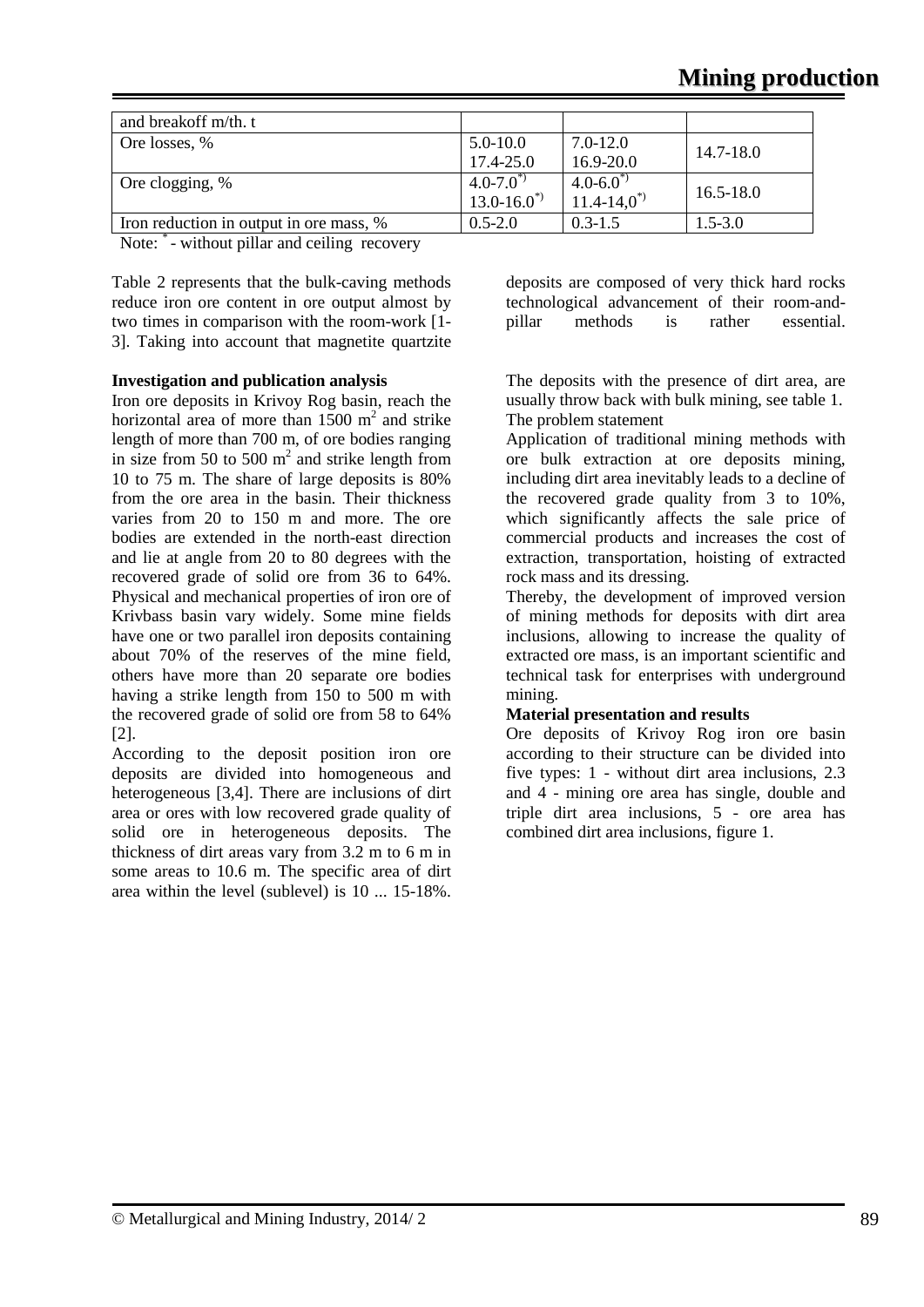| and breakoff m/th. t                    |                 |                 |               |  |
|-----------------------------------------|-----------------|-----------------|---------------|--|
| Ore losses, %                           | $5.0 - 10.0$    | 7.0-12.0        | 14.7-18.0     |  |
|                                         | $17.4 - 25.0$   | 16.9-20.0       |               |  |
| Ore clogging, %                         | $4.0 - 7.0^{*}$ | $4.0 - 6.0^*$   | $16.5 - 18.0$ |  |
|                                         | $13.0 - 16.0^*$ | $11.4 - 14.0^*$ |               |  |
| Iron reduction in output in ore mass, % | $0.5 - 2.0$     | $0.3 - 1.5$     | $1.5 - 3.0$   |  |

Note:  $\sim$  - without pillar and ceiling recovery

Table 2 represents that the bulk-caving methods reduce iron ore content in ore output almost by two times in comparison with the room-work [1- 3]. Taking into account that magnetite quartzite

#### **Investigation and publication analysis**

Iron ore deposits in Krivoy Rog basin, reach the horizontal area of more than  $1500 \text{ m}^2$  and strike length of more than 700 m, of ore bodies ranging in size from 50 to 500  $m<sup>2</sup>$  and strike length from 10 to 75 m. The share of large deposits is 80% from the ore area in the basin. Their thickness varies from 20 to 150 m and more. The ore bodies are extended in the north-east direction and lie at angle from 20 to 80 degrees with the recovered grade of solid ore from 36 to 64%. Physical and mechanical properties of iron ore of Krivbass basin vary widely. Some mine fields have one or two parallel iron deposits containing about 70% of the reserves of the mine field, others have more than 20 separate ore bodies having a strike length from 150 to 500 m with the recovered grade of solid ore from 58 to 64% [2].

According to the deposit position iron ore deposits are divided into homogeneous and heterogeneous [3,4]. There are inclusions of dirt area or ores with low recovered grade quality of solid ore in heterogeneous deposits. The thickness of dirt areas vary from 3.2 m to 6 m in some areas to 10.6 m. The specific area of dirt area within the level (sublevel) is 10 ... 15-18%.

deposits are composed of very thick hard rocks technological advancement of their room-andpillar methods is rather essential.

The deposits with the presence of dirt area, are usually throw back with bulk mining, see table 1. The problem statement

Application of traditional mining methods with ore bulk extraction at ore deposits mining, including dirt area inevitably leads to a decline of the recovered grade quality from 3 to 10%, which significantly affects the sale price of commercial products and increases the cost of extraction, transportation, hoisting of extracted rock mass and its dressing.

Thereby, the development of improved version of mining methods for deposits with dirt area inclusions, allowing to increase the quality of extracted ore mass, is an important scientific and technical task for enterprises with underground mining.

#### **Material presentation and results**

Ore deposits of Krivoy Rog iron ore basin according to their structure can be divided into five types: 1 - without dirt area inclusions, 2.3 and 4 - mining ore area has single, double and triple dirt area inclusions, 5 - ore area has combined dirt area inclusions, figure 1.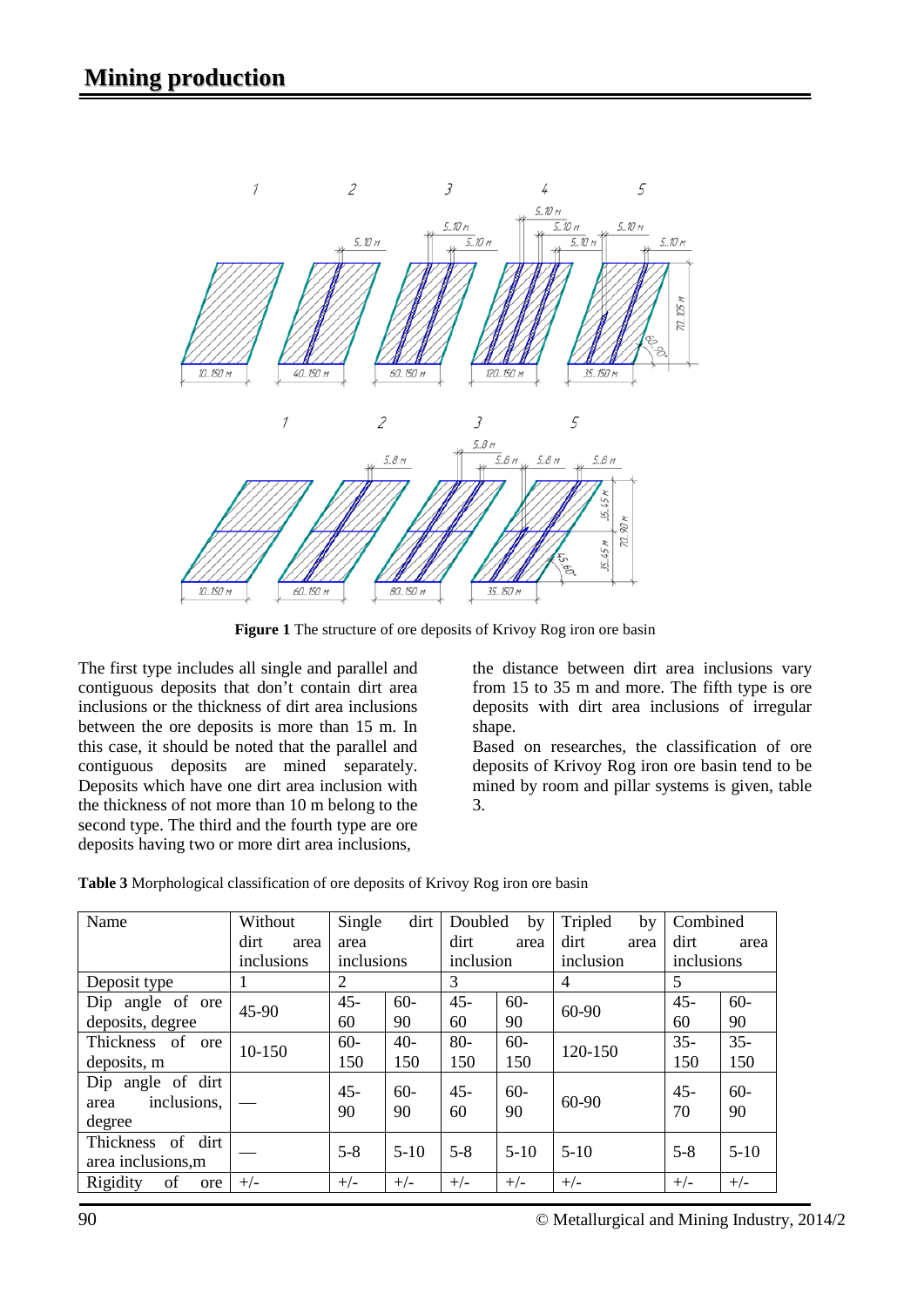

**Figure 1** The structure of ore deposits of Krivoy Rog iron ore basin

The first type includes all single and parallel and contiguous deposits that don't contain dirt area inclusions or the thickness of dirt area inclusions between the ore deposits is more than 15 m. In this case, it should be noted that the parallel and contiguous deposits are mined separately. Deposits which have one dirt area inclusion with the thickness of not more than 10 m belong to the second type. The third and the fourth type are ore deposits having two or more dirt area inclusions,

the distance between dirt area inclusions vary from 15 to 35 m and more. The fifth type is ore deposits with dirt area inclusions of irregular shape.

Based on researches, the classification of ore deposits of Krivoy Rog iron ore basin tend to be mined by room and pillar systems is given, table 3.

| Name                                                  | Without      | Single       | dirt        | Doubled      | by          | Tripled<br>by | Combined     |              |
|-------------------------------------------------------|--------------|--------------|-------------|--------------|-------------|---------------|--------------|--------------|
|                                                       | dirt<br>area | area         |             | dirt         | area        | dirt<br>area  | dirt         | area         |
|                                                       | inclusions   | inclusions   |             | inclusion    |             | inclusion     | inclusions   |              |
| Deposit type                                          |              | 2            |             | 3            |             | 4             | 5            |              |
| Dip angle of ore                                      | 45-90        | $45 -$       | $60 -$      | $45 -$       | $60 -$      | 60-90         | $45 -$       | $60 -$       |
| deposits, degree                                      |              | 60           | 90          | 60           | 90          |               | 60           | 90           |
| Thickness of<br>ore                                   | 10-150       | $60 -$       | $40-$       | $80-$        | $60 -$      | 120-150       | $35 -$       | $35 -$       |
| deposits, m                                           |              | 150          | 150         | 150          | 150         |               | 150          | 150          |
| angle of dirt<br>Dip<br>inclusions,<br>area<br>degree |              | $45 -$<br>90 | $60-$<br>90 | $45 -$<br>60 | $60-$<br>90 | 60-90         | $45 -$<br>70 | $60 -$<br>90 |
| of<br>dirt<br>Thickness<br>area inclusions, m         |              | $5 - 8$      | $5-10$      | $5 - 8$      | $5-10$      | $5-10$        | $5 - 8$      | $5-10$       |
| Rigidity<br>of<br>ore                                 | $+/-$        | $+/-$        | $+/-$       | $+/-$        | $+/-$       | $+/-$         | $+/-$        | $+/-$        |

**Table 3** Morphological classification of ore deposits of Krivoy Rog iron ore basin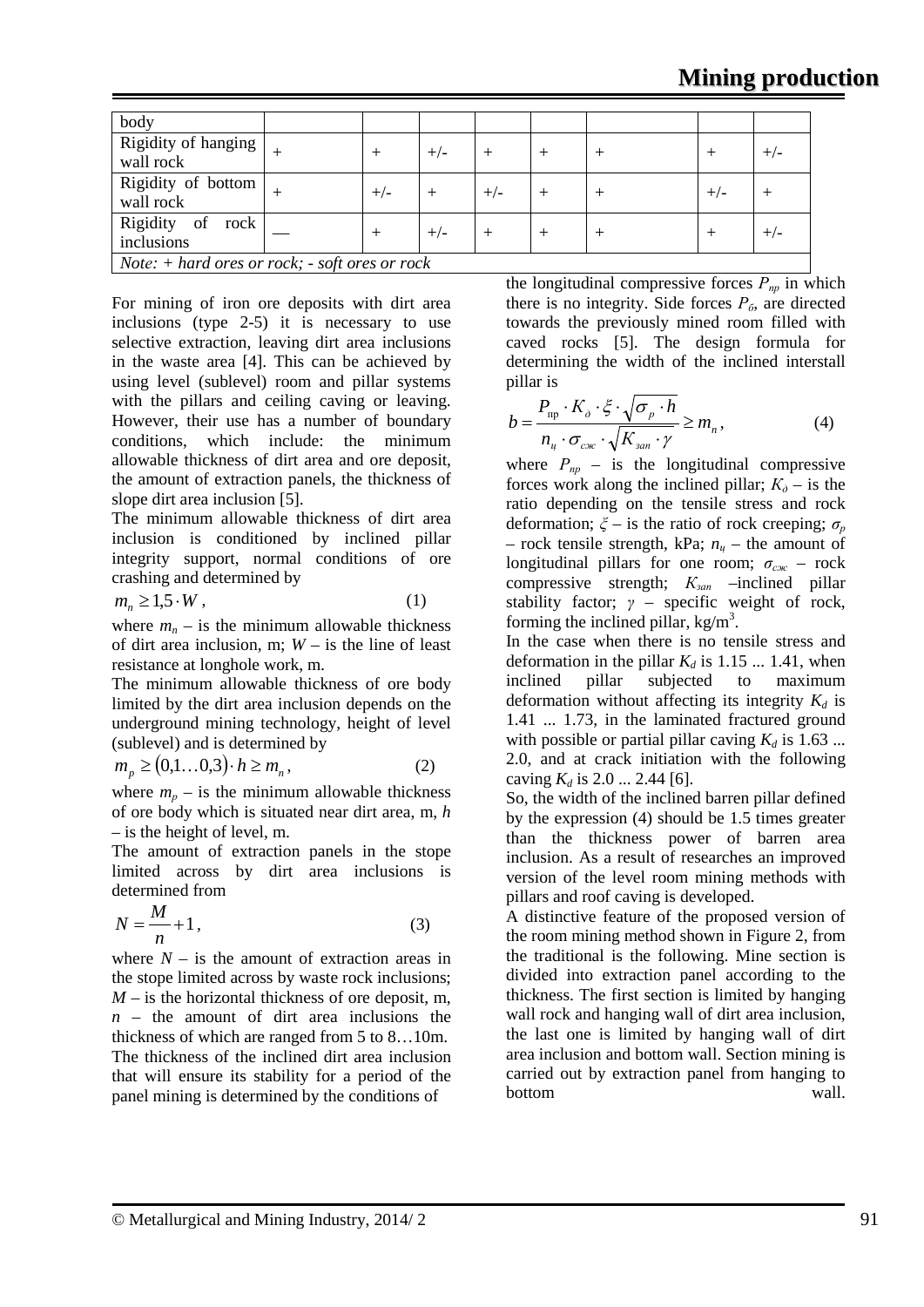| body                                                                    |  |       |       |       |  |  |       |       |
|-------------------------------------------------------------------------|--|-------|-------|-------|--|--|-------|-------|
| Rigidity of hanging<br>wall rock                                        |  |       | $+/-$ |       |  |  |       | $+/-$ |
| Rigidity of bottom<br>wall rock                                         |  | $+/-$ |       | $+/-$ |  |  | $+/-$ |       |
| Rigidity of rock<br>inclusions                                          |  |       | $+/-$ |       |  |  |       | $+/-$ |
| <i>Note:</i> $+$ <i>hard ores or rock;</i> $-$ <i>soft ores or rock</i> |  |       |       |       |  |  |       |       |

For mining of iron ore deposits with dirt area inclusions (type 2-5) it is necessary to use selective extraction, leaving dirt area inclusions in the waste area [4]. This can be achieved by using level (sublevel) room and pillar systems with the pillars and ceiling caving or leaving. However, their use has a number of boundary conditions, which include: the minimum allowable thickness of dirt area and ore deposit, the amount of extraction panels, the thickness of slope dirt area inclusion [5].

The minimum allowable thickness of dirt area inclusion is conditioned by inclined pillar integrity support, normal conditions of ore crashing and determined by

$$
m_n \ge 1.5 \cdot W \,, \tag{1}
$$

where  $m_n$  – is the minimum allowable thickness of dirt area inclusion, m; *W* – is the line of least resistance at longhole work, m.

The minimum allowable thickness of ore body limited by the dirt area inclusion depends on the underground mining technology, height of level (sublevel) and is determined by

$$
m_p \ge (0,1\ldots 0,3) \cdot h \ge m_n,\tag{2}
$$

where  $m_p$  – is the minimum allowable thickness of ore body which is situated near dirt area, m, *h* – is the height of level, m.

The amount of extraction panels in the stope limited across by dirt area inclusions is determined from

$$
N = \frac{M}{n} + 1\,,\tag{3}
$$

where  $N -$  is the amount of extraction areas in the stope limited across by waste rock inclusions;  $M -$  is the horizontal thickness of ore deposit, m. *n* – the amount of dirt area inclusions the thickness of which are ranged from 5 to 8…10m. The thickness of the inclined dirt area inclusion that will ensure its stability for a period of the panel mining is determined by the conditions of

the longitudinal compressive forces  $P_{np}$  in which there is no integrity. Side forces  $P_6$ , are directed towards the previously mined room filled with caved rocks [5]. The design formula for determining the width of the inclined interstall pillar is

$$
b = \frac{P_{\rm np} \cdot K_{\partial} \cdot \xi \cdot \sqrt{\sigma_p \cdot h}}{n_u \cdot \sigma_{\rm cyc} \cdot \sqrt{K_{\rm san} \cdot \gamma}} \ge m_n,
$$
 (4)

where  $P_{np}$  – is the longitudinal compressive forces work along the inclined pillar;  $K_{\theta}$  – is the ratio depending on the tensile stress and rock deformation;  $\zeta$  – is the ratio of rock creeping;  $\sigma_p$ – rock tensile strength, kPa;  $n_u$  – the amount of longitudinal pillars for one room; *σсж* – rock compressive strength;  $K_{\text{gan}}$  –inclined pillar stability factor; *γ* – specific weight of rock, forming the inclined pillar,  $kg/m<sup>3</sup>$ .

In the case when there is no tensile stress and deformation in the pillar  $K_d$  is 1.15 ... 1.41, when inclined pillar subjected to maximum deformation without affecting its integrity  $K_d$  is 1.41 ... 1.73, in the laminated fractured ground with possible or partial pillar caving  $K_d$  is 1.63 ... 2.0, and at crack initiation with the following caving  $K_d$  is 2.0 ... 2.44 [6].

So, the width of the inclined barren pillar defined by the expression (4) should be 1.5 times greater than the thickness power of barren area inclusion. As a result of researches an improved version of the level room mining methods with pillars and roof caving is developed.

A distinctive feature of the proposed version of the room mining method shown in Figure 2, from the traditional is the following. Mine section is divided into extraction panel according to the thickness. The first section is limited by hanging wall rock and hanging wall of dirt area inclusion, the last one is limited by hanging wall of dirt area inclusion and bottom wall. Section mining is carried out by extraction panel from hanging to bottom wall.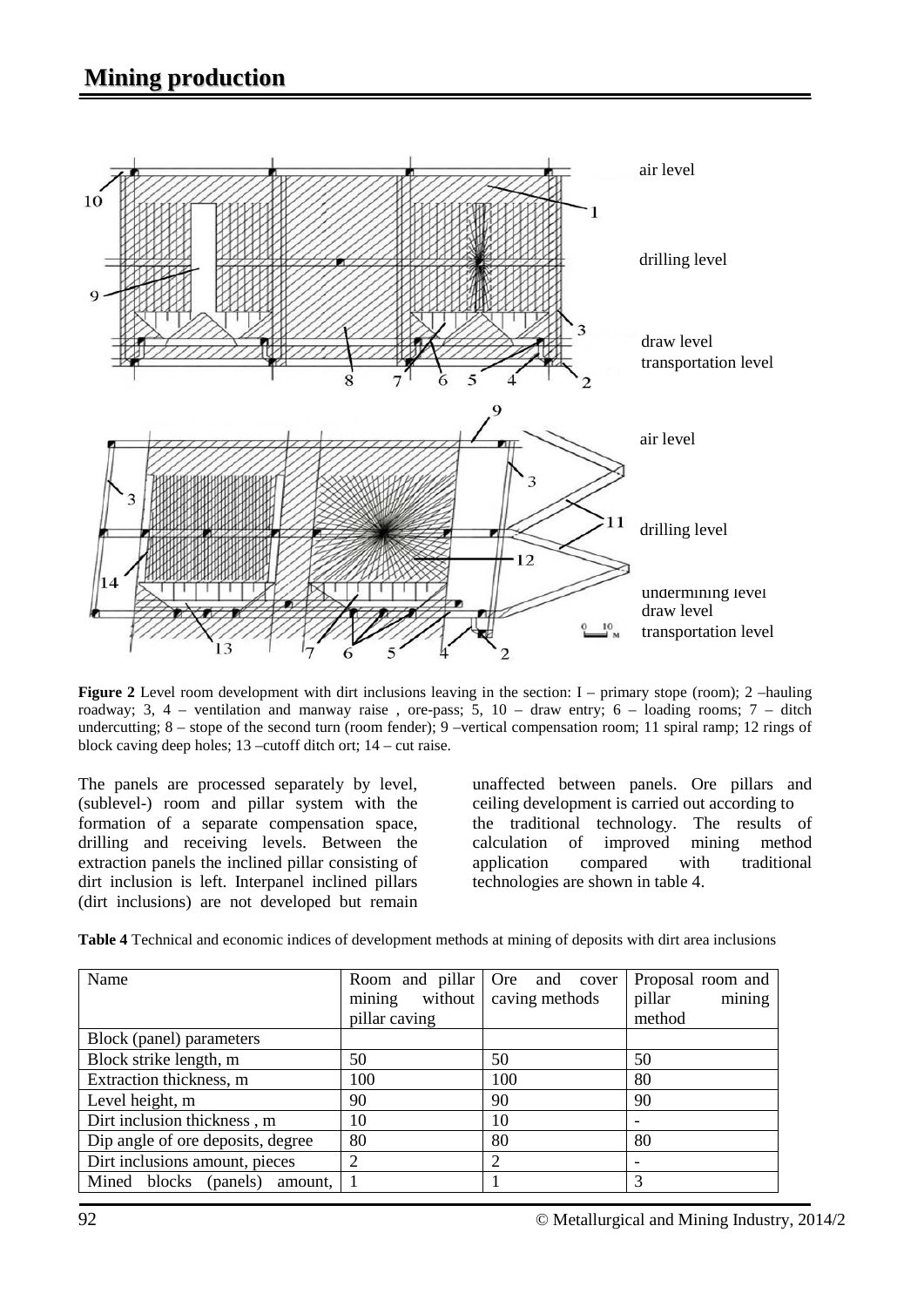## **Mining production**



**Figure 2** Level room development with dirt inclusions leaving in the section: I – primary stope (room); 2 –hauling roadway; 3, 4 – ventilation and manway raise, ore-pass; 5,  $10 -$  draw entry; 6 – loading rooms; 7 – ditch undercutting;  $8 -$  stope of the second turn (room fender);  $9 -$ vertical compensation room; 11 spiral ramp; 12 rings of block caving deep holes; 13 –cutoff ditch ort; 14 – cut raise.

The panels are processed separately by level, (sublevel-) room and pillar system with the formation of a separate compensation space, drilling and receiving levels. Between the extraction panels the inclined pillar consisting of dirt inclusion is left. Interpanel inclined pillars (dirt inclusions) are not developed but remain

unaffected between panels. Ore pillars and ceiling development is carried out according to the traditional technology. The results of calculation of improved mining method application compared with traditional technologies are shown in table 4.

**Table 4** Technical and economic indices of development methods at mining of deposits with dirt area inclusions

| Name                                | Room and pillar<br>mining without<br>pillar caving | Ore and cover<br>caving methods | Proposal room and<br>mining<br>pillar<br>method |  |
|-------------------------------------|----------------------------------------------------|---------------------------------|-------------------------------------------------|--|
| Block (panel) parameters            |                                                    |                                 |                                                 |  |
| Block strike length, m              | 50                                                 | 50                              | 50                                              |  |
| Extraction thickness, m             | 100                                                | 100                             | 80                                              |  |
| Level height, m                     | 90                                                 | 90                              | 90                                              |  |
| Dirt inclusion thickness, m         | 10                                                 | 10                              |                                                 |  |
| Dip angle of ore deposits, degree   | 80                                                 | 80                              | 80                                              |  |
| Dirt inclusions amount, pieces      | 2                                                  | $\overline{2}$                  |                                                 |  |
| Mined blocks<br>(panels)<br>amount, |                                                    |                                 | 3                                               |  |